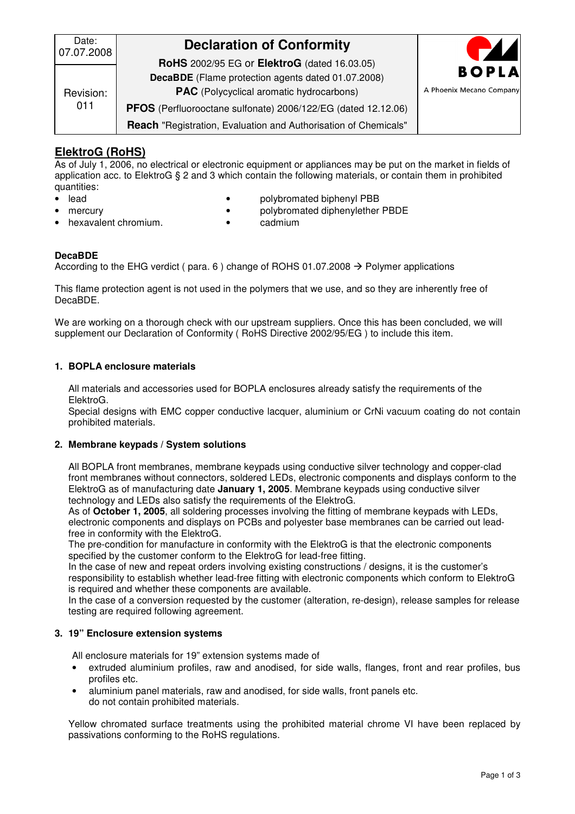| Date:<br>07.07.2008 | <b>Declaration of Conformity</b>                                                                      | $\blacktriangleright$    |
|---------------------|-------------------------------------------------------------------------------------------------------|--------------------------|
| Revision:<br>011    | <b>RoHS</b> 2002/95 EG or <b>ElektroG</b> (dated 16.03.05)                                            | <b>BOPLA</b>             |
|                     | DecaBDE (Flame protection agents dated 01.07.2008)<br><b>PAC</b> (Polycyclical aromatic hydrocarbons) | A Phoenix Mecano Company |
|                     | PFOS (Perfluorooctane sulfonate) 2006/122/EG (dated 12.12.06)                                         |                          |
|                     | Reach "Registration, Evaluation and Authorisation of Chemicals"                                       |                          |

# **ElektroG (RoHS)**

As of July 1, 2006, no electrical or electronic equipment or appliances may be put on the market in fields of application acc. to ElektroG § 2 and 3 which contain the following materials, or contain them in prohibited quantities:

- 
- 
- lead polybromated biphenyl PBB
	- mercury polybromated diphenylether PBDE
- hexavalent chromium. cadmium
- 

### **DecaBDE**

According to the EHG verdict ( para. 6 ) change of ROHS 01.07.2008  $\rightarrow$  Polymer applications

This flame protection agent is not used in the polymers that we use, and so they are inherently free of DecaBDE.

We are working on a thorough check with our upstream suppliers. Once this has been concluded, we will supplement our Declaration of Conformity ( RoHS Directive 2002/95/EG ) to include this item.

### **1. BOPLA enclosure materials**

All materials and accessories used for BOPLA enclosures already satisfy the requirements of the ElektroG.

Special designs with EMC copper conductive lacquer, aluminium or CrNi vacuum coating do not contain prohibited materials.

#### **2. Membrane keypads / System solutions**

All BOPLA front membranes, membrane keypads using conductive silver technology and copper-clad front membranes without connectors, soldered LEDs, electronic components and displays conform to the ElektroG as of manufacturing date **January 1, 2005**. Membrane keypads using conductive silver technology and LEDs also satisfy the requirements of the ElektroG.

As of **October 1, 2005**, all soldering processes involving the fitting of membrane keypads with LEDs, electronic components and displays on PCBs and polyester base membranes can be carried out leadfree in conformity with the ElektroG.

The pre-condition for manufacture in conformity with the ElektroG is that the electronic components specified by the customer conform to the ElektroG for lead-free fitting.

In the case of new and repeat orders involving existing constructions / designs, it is the customer's responsibility to establish whether lead-free fitting with electronic components which conform to ElektroG is required and whether these components are available.

In the case of a conversion requested by the customer (alteration, re-design), release samples for release testing are required following agreement.

#### **3. 19" Enclosure extension systems**

All enclosure materials for 19" extension systems made of

- extruded aluminium profiles, raw and anodised, for side walls, flanges, front and rear profiles, bus profiles etc.
- aluminium panel materials, raw and anodised, for side walls, front panels etc. do not contain prohibited materials.

Yellow chromated surface treatments using the prohibited material chrome VI have been replaced by passivations conforming to the RoHS regulations.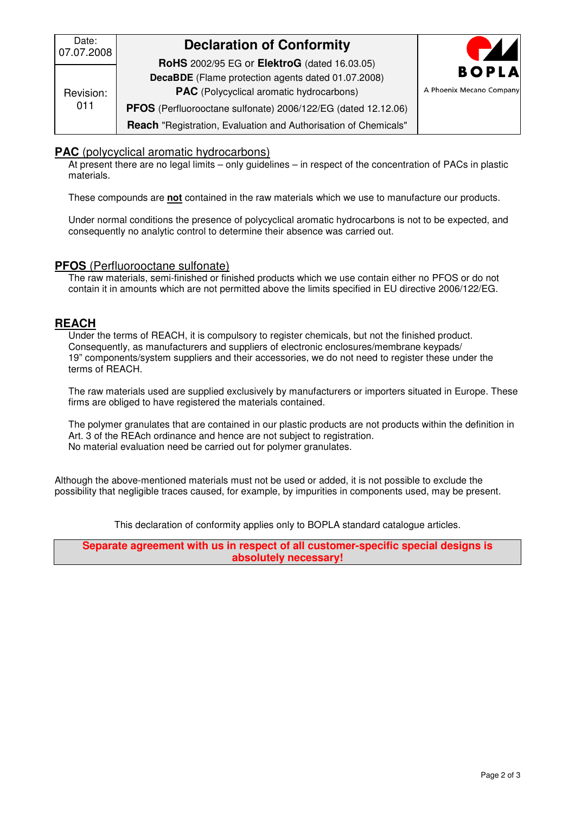| Date:<br>07.07.2008 | <b>Declaration of Conformity</b>                                                                                 | $\blacktriangle$         |
|---------------------|------------------------------------------------------------------------------------------------------------------|--------------------------|
| Revision:<br>011    | <b>RoHS</b> 2002/95 EG or <b>ElektroG</b> (dated 16.03.05)<br>DecaBDE (Flame protection agents dated 01.07.2008) | <b>BOPLA</b>             |
|                     | <b>PAC</b> (Polycyclical aromatic hydrocarbons)                                                                  | A Phoenix Mecano Company |
|                     | PFOS (Perfluorooctane sulfonate) 2006/122/EG (dated 12.12.06)                                                    |                          |
|                     | Reach "Registration, Evaluation and Authorisation of Chemicals"                                                  |                          |

## **PAC** (polycyclical aromatic hydrocarbons)

At present there are no legal limits – only guidelines – in respect of the concentration of PACs in plastic materials.

These compounds are **not** contained in the raw materials which we use to manufacture our products.

Under normal conditions the presence of polycyclical aromatic hydrocarbons is not to be expected, and consequently no analytic control to determine their absence was carried out.

## **PFOS** (Perfluorooctane sulfonate)

The raw materials, semi-finished or finished products which we use contain either no PFOS or do not contain it in amounts which are not permitted above the limits specified in EU directive 2006/122/EG.

## **REACH**

Under the terms of REACH, it is compulsory to register chemicals, but not the finished product. Consequently, as manufacturers and suppliers of electronic enclosures/membrane keypads/ 19" components/system suppliers and their accessories, we do not need to register these under the terms of REACH.

The raw materials used are supplied exclusively by manufacturers or importers situated in Europe. These firms are obliged to have registered the materials contained.

The polymer granulates that are contained in our plastic products are not products within the definition in Art. 3 of the REAch ordinance and hence are not subject to registration. No material evaluation need be carried out for polymer granulates.

Although the above-mentioned materials must not be used or added, it is not possible to exclude the possibility that negligible traces caused, for example, by impurities in components used, may be present.

This declaration of conformity applies only to BOPLA standard catalogue articles.

**Separate agreement with us in respect of all customer-specific special designs is absolutely necessary!**